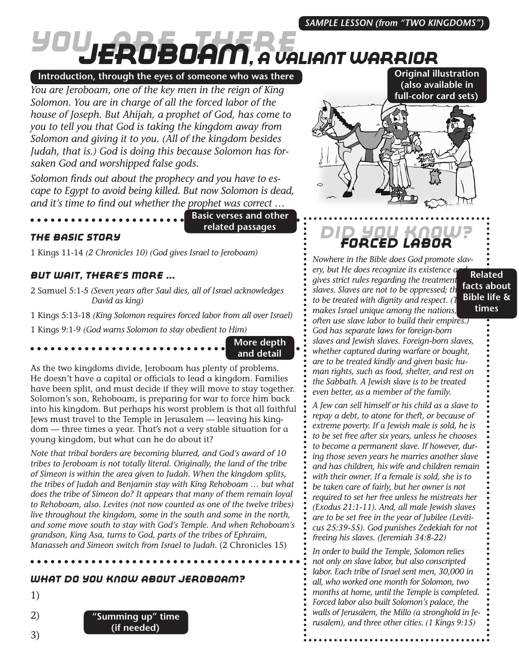# *You Are There Jeroboam, A valiant warrior*

#### **Introduction, through the eyes of someone who was there**

*You are Jeroboam, one of the key men in the reign of King Solomon. You are in charge of all the forced labor of the house of Joseph. But Ahijah, a prophet of God, has come to you to tell you that God is taking the kingdom away from Solomon and giving it to you. (All of the kingdom besides Judah, that is.) God is doing this because Solomon has forsaken God and worshipped false gods.*

*Solomon finds out about the prophecy and you have to escape to Egypt to avoid being killed. But now Solomon is dead, and it's time to find out whether the prophet was correct …*

**Basic verses and other related passages**

#### *The Basic Story*

1 Kings 11-14 *(2 Chronicles 10) (God gives Israel to Jeroboam)*

#### *But Wait, There's More ...*

2 Samuel 5:1-5 *(Seven years after Saul dies, all of Israel acknowledges David as king)*

1 Kings 5:13-18 *(King Solomon requires forced labor from all over Israel)* 1 Kings 9:1-9 *(God warns Solomon to stay obedient to Him)*

#### **More depth and detail**

As the two kingdoms divide, Jeroboam has plenty of problems. He doesn't have a capital or officials to lead a kingdom. Families have been split, and must decide if they will move to stay together. Solomon's son, Rehoboam, is preparing for war to force him back into his kingdom. But perhaps his worst problem is that all faithful Jews must travel to the Temple in Jerusalem — leaving his kingdom — three times a year. That's not a very stable situation for a young kingdom, but what can he do about it?

*Note that tribal borders are becoming blurred, and God's award of 10 tribes to Jeroboam is not totally literal. Originally, the land of the tribe of Simeon is within the area given to Judah. When the kingdom splits, the tribes of Judah and Benjamin stay with King Rehoboam … but what does the tribe of Simeon do? It appears that many of them remain loyal to Rehoboam, also. Levites (not now counted as one of the twelve tribes) live throughout the kingdom, some in the south and some in the north, and some move south to stay with God's Temple. And when Rehoboam's grandson, King Asa, turns to God, parts of the tribes of Ephraim, Manasseh and Simeon switch from Israel to Judah.* (2 Chronicles 15)

#### *What Do You Know About Jeroboam?*

1)







## *Did You Know? Forced Labor*

*Nowhere in the Bible does God promote slavery, but He does recognize its existence a gives strict rules regarding the treatment of*  slaves. Slaves are not to be oppressed; th *to be treated with dignity and respect. (This makes Israel unique among the nations, often use slave labor to build their empires.) God has separate laws for foreign-born slaves and Jewish slaves. Foreign-born slaves, whether captured during warfare or bought, are to be treated kindly and given basic human rights, such as food, shelter, and rest on the Sabbath. A Jewish slave is to be treated even better, as a member of the family.* **Related facts about Bible life & times**

*A Jew can sell himself or his child as a slave to repay a debt, to atone for theft, or because of extreme poverty. If a Jewish male is sold, he is to be set free after six years, unless he chooses to become a permanent slave. If however, during those seven years he marries another slave and has children, his wife and children remain with their owner. If a female is sold, she is to be taken care of fairly, but her owner is not required to set her free unless he mistreats her (Exodus 21:1-11). And, all male Jewish slaves are to be set free in the year of Jubilee (Leviticus 25:39-55). God punishes Zedekiah for not freeing his slaves. (Jeremiah 34:8-22)*

*In order to build the Temple, Solomon relies not only on slave labor, but also conscripted labor. Each tribe of Israel sent men, 30,000 in all, who worked one month for Solomon, two months at home, until the Temple is completed. Forced labor also built Solomon's palace, the walls of Jerusalem, the Millo (a stronghold in Jerusalem), and three other cities. (1 Kings 9:15)*